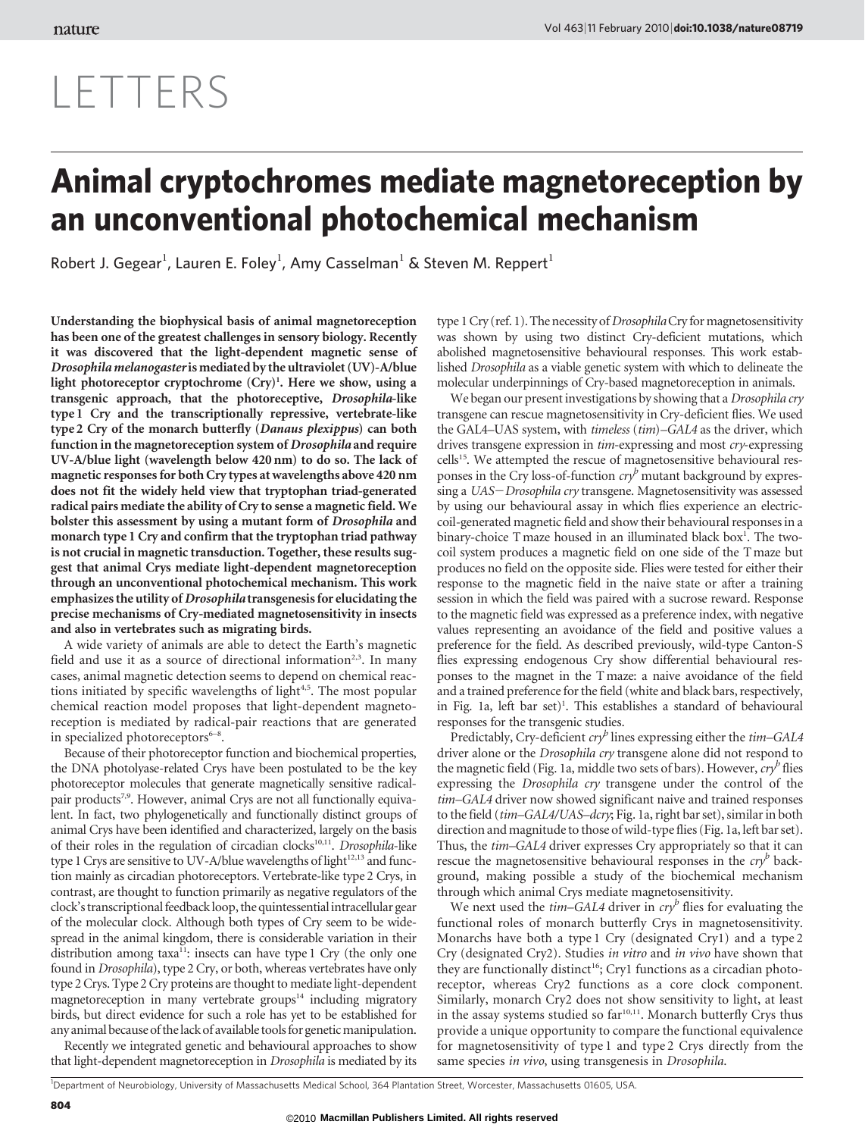# LETTERS

## Animal cryptochromes mediate magnetoreception by an unconventional photochemical mechanism

Robert J. Gegear<sup>1</sup>, Lauren E. Foley<sup>1</sup>, Amy Casselman<sup>1</sup> & Steven M. Reppert<sup>1</sup>

Understanding the biophysical basis of animal magnetoreception has been one of the greatest challenges in sensory biology. Recently it was discovered that the light-dependent magnetic sense of Drosophila melanogasteris mediated by the ultraviolet (UV)-A/blue light photoreceptor cryptochrome (Cry)<sup>1</sup>. Here we show, using a transgenic approach, that the photoreceptive, Drosophila-like type 1 Cry and the transcriptionally repressive, vertebrate-like type 2 Cry of the monarch butterfly (Danaus plexippus) can both function in the magnetoreception system of Drosophila and require UV-A/blue light (wavelength below 420 nm) to do so. The lack of magnetic responses for both Cry types at wavelengths above 420 nm does not fit the widely held view that tryptophan triad-generated radical pairs mediate the ability of Cry to sense a magnetic field. We bolster this assessment by using a mutant form of Drosophila and monarch type 1 Cry and confirm that the tryptophan triad pathway is not crucial in magnetic transduction. Together, these results suggest that animal Crys mediate light-dependent magnetoreception through an unconventional photochemical mechanism. This work emphasizes the utility of Drosophila transgenesis for elucidating the precise mechanisms of Cry-mediated magnetosensitivity in insects and also in vertebrates such as migrating birds.

A wide variety of animals are able to detect the Earth's magnetic field and use it as a source of directional information<sup>2,3</sup>. In many cases, animal magnetic detection seems to depend on chemical reactions initiated by specific wavelengths of light<sup>4,5</sup>. The most popular chemical reaction model proposes that light-dependent magnetoreception is mediated by radical-pair reactions that are generated in specialized photoreceptors $6-8$ .

Because of their photoreceptor function and biochemical properties, the DNA photolyase-related Crys have been postulated to be the key photoreceptor molecules that generate magnetically sensitive radicalpair products<sup>7,9</sup>. However, animal Crys are not all functionally equivalent. In fact, two phylogenetically and functionally distinct groups of animal Crys have been identified and characterized, largely on the basis of their roles in the regulation of circadian clocks<sup>10,11</sup>. Drosophila-like type 1 Crys are sensitive to UV-A/blue wavelengths of light<sup>12,13</sup> and function mainly as circadian photoreceptors. Vertebrate-like type 2 Crys, in contrast, are thought to function primarily as negative regulators of the clock's transcriptional feedback loop, the quintessential intracellular gear of the molecular clock. Although both types of Cry seem to be widespread in the animal kingdom, there is considerable variation in their distribution among taxa<sup>11</sup>: insects can have type  $1$  Cry (the only one found in Drosophila), type 2 Cry, or both, whereas vertebrates have only type 2 Crys. Type 2 Cry proteins are thought to mediate light-dependent magnetoreception in many vertebrate groups $14$  including migratory birds, but direct evidence for such a role has yet to be established for any animal because of the lack of available tools for genetic manipulation. Recently we integrated genetic and behavioural approaches to show

that light-dependent magnetoreception in Drosophila is mediated by its

type 1 Cry (ref. 1). The necessity of *Drosophila* Cry for magnetosensitivity was shown by using two distinct Cry-deficient mutations, which abolished magnetosensitive behavioural responses. This work established Drosophila as a viable genetic system with which to delineate the molecular underpinnings of Cry-based magnetoreception in animals.

We began our present investigations by showing that a *Drosophila cry* transgene can rescue magnetosensitivity in Cry-deficient flies. We used the GAL4–UAS system, with timeless (tim)–GAL4 as the driver, which drives transgene expression in tim-expressing and most cry-expressing cells<sup>15</sup>. We attempted the rescue of magnetosensitive behavioural responses in the Cry loss-of-function  $\frac{c}{y}$  mutant background by expressing a UAS-Drosophila cry transgene. Magnetosensitivity was assessed by using our behavioural assay in which flies experience an electriccoil-generated magnetic field and show their behavioural responses in a binary-choice T maze housed in an illuminated black box<sup>1</sup>. The twocoil system produces a magnetic field on one side of the T maze but produces no field on the opposite side. Flies were tested for either their response to the magnetic field in the naive state or after a training session in which the field was paired with a sucrose reward. Response to the magnetic field was expressed as a preference index, with negative values representing an avoidance of the field and positive values a preference for the field. As described previously, wild-type Canton-S flies expressing endogenous Cry show differential behavioural responses to the magnet in the T maze: a naive avoidance of the field and a trained preference for the field (white and black bars, respectively, in Fig. 1a, left bar set)<sup>1</sup>. This establishes a standard of behavioural responses for the transgenic studies.

Predictably, Cry-deficient  $\exp^b$  lines expressing either the  $\lim$ -GAL4 driver alone or the Drosophila cry transgene alone did not respond to the magnetic field (Fig. 1a, middle two sets of bars). However,  $cr\psi^b$  flies expressing the Drosophila cry transgene under the control of the tim–GAL4 driver now showed significant naive and trained responses to the field (tim–GAL4/UAS–dcry; Fig. 1a, right bar set), similar in both direction and magnitude to those of wild-type flies (Fig. 1a, left bar set). Thus, the tim–GAL4 driver expresses Cry appropriately so that it can rescue the magnetosensitive behavioural responses in the  $\frac{cry^b}{bc}$  background, making possible a study of the biochemical mechanism through which animal Crys mediate magnetosensitivity.

We next used the  $tim-GAL4$  driver in  $cry^b$  flies for evaluating the functional roles of monarch butterfly Crys in magnetosensitivity. Monarchs have both a type 1 Cry (designated Cry1) and a type 2 Cry (designated Cry2). Studies in vitro and in vivo have shown that they are functionally distinct<sup>16</sup>; Cry1 functions as a circadian photoreceptor, whereas Cry2 functions as a core clock component. Similarly, monarch Cry2 does not show sensitivity to light, at least in the assay systems studied so far<sup>10,11</sup>. Monarch butterfly Crys thus provide a unique opportunity to compare the functional equivalence for magnetosensitivity of type 1 and type 2 Crys directly from the same species in vivo, using transgenesis in Drosophila.

1 Department of Neurobiology, University of Massachusetts Medical School, 364 Plantation Street, Worcester, Massachusetts 01605, USA.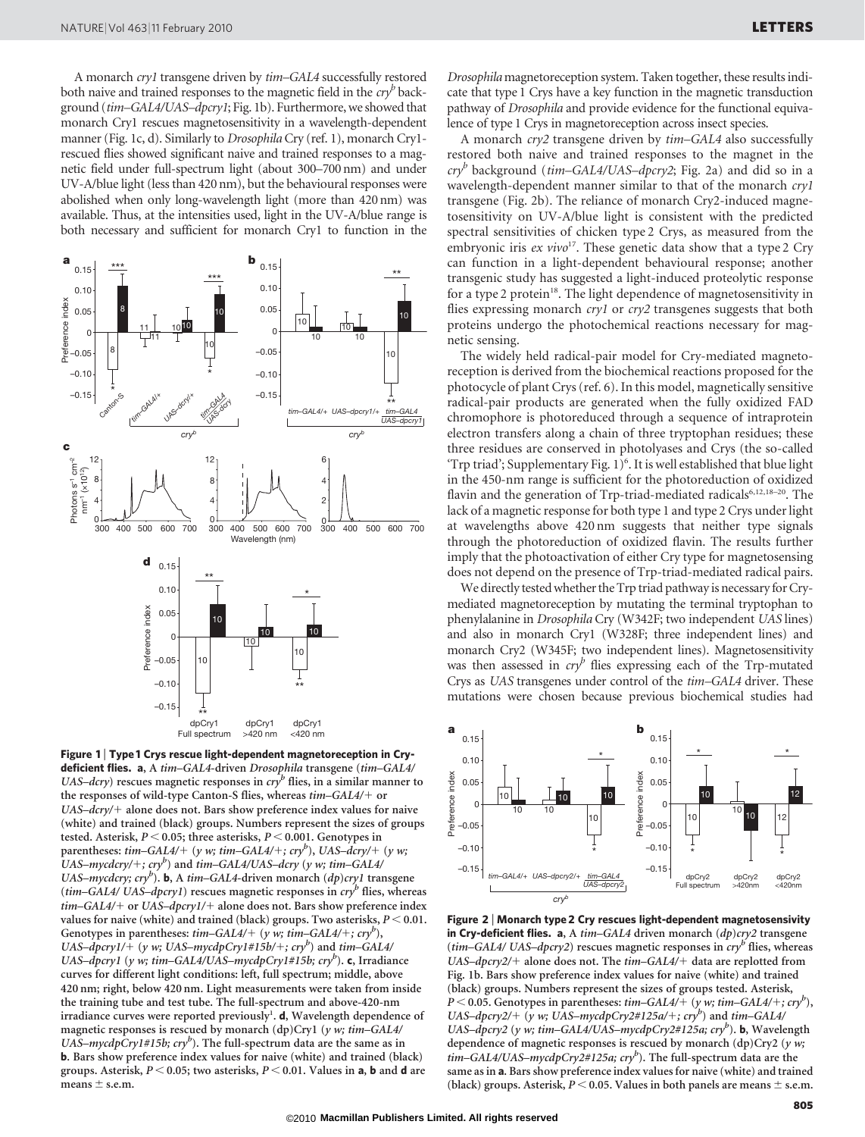A monarch cry1 transgene driven by tim–GAL4 successfully restored both naive and trained responses to the magnetic field in the  $\frac{cr\psi}{}$  background (tim–GAL4/UAS–dpcry1; Fig. 1b). Furthermore, we showed that monarch Cry1 rescues magnetosensitivity in a wavelength-dependent manner (Fig. 1c, d). Similarly to *Drosophila* Cry (ref. 1), monarch Cry1rescued flies showed significant naive and trained responses to a magnetic field under full-spectrum light (about 300–700 nm) and under UV-A/blue light (less than 420 nm), but the behavioural responses were abolished when only long-wavelength light (more than 420 nm) was available. Thus, at the intensities used, light in the UV-A/blue range is both necessary and sufficient for monarch Cry1 to function in the



Figure 1 <sup>|</sup> Type 1 Crys rescue light-dependent magnetoreception in Crydeficient flies. a, A tim-GAL4-driven Drosophila transgene (tim-GAL4/ UAS–dcry) rescues magnetic responses in  $\frac{c}{y}$  flies, in a similar manner to the responses of wild-type Canton-S flies, whereas  $tim-GAL4/+$  or  $UAS$ – $d$ cry/+ alone does not. Bars show preference index values for naive (white) and trained (black) groups. Numbers represent the sizes of groups tested. Asterisk,  $P < 0.05$ ; three asterisks,  $P < 0.001$ . Genotypes in parentheses: tim–GAL4/+ (y w; tim–GAL4/+; cry<sup>b</sup>), UAS–dcry/+ (y w; UAS–mycdcry/+; cry<sup>b</sup>) and tim–GAL4/UAS–dcry (y w; tim–GAL4/ UAS-mycdcry; cry<sup>b</sup>). **b**, A tim-GAL4-driven monarch  $(dp)$ cry1 transgene (tim–GAL4/ UAS–dpcry1) rescues magnetic responses in  $\textit{cry}^b$  flies, whereas  $tim-GAL4/+$  or  $UAS-dpcrv1/+$  alone does not. Bars show preference index values for naive (white) and trained (black) groups. Two asterisks,  $P < 0.01$ . Genotypes in parentheses:  $tim-GAL4/+(y w; tim-GAL4/+, cry^b)$ , UAS- $\frac{dp}{dy}$  (y w; UAS-mycdpCry1#15b/+; cry<sup>b</sup>) and tim-GAL4/ UAS-dpcry1 (y w; tim-GAL4/UAS-mycdpCry1#15b; cryb). c, Irradiance curves for different light conditions: left, full spectrum; middle, above 420 nm; right, below 420 nm. Light measurements were taken from inside the training tube and test tube. The full-spectrum and above-420-nm irradiance curves were reported previously<sup>1</sup>. **d**, Wavelength dependence of magnetic responses is rescued by monarch (dp)Cry1 (y w; tim-GAL4/ UAS-mycdpCry1#15b; cry<sup>b</sup>). The full-spectrum data are the same as in b. Bars show preference index values for naive (white) and trained (black) groups. Asterisk,  $P < 0.05$ ; two asterisks,  $P < 0.01$ . Values in a, b and d are means  $\pm$  s.e.m.

Drosophila magnetoreception system. Taken together, these results indicate that type 1 Crys have a key function in the magnetic transduction pathway of Drosophila and provide evidence for the functional equivalence of type 1 Crys in magnetoreception across insect species.

A monarch cry2 transgene driven by tim–GAL4 also successfully restored both naive and trained responses to the magnet in the  $cry^b$  background (tim–GAL4/UAS–dpcry2; Fig. 2a) and did so in a wavelength-dependent manner similar to that of the monarch cry1 transgene (Fig. 2b). The reliance of monarch Cry2-induced magnetosensitivity on UV-A/blue light is consistent with the predicted spectral sensitivities of chicken type 2 Crys, as measured from the embryonic iris  $ex$  vivo<sup>17</sup>. These genetic data show that a type 2 Cry can function in a light-dependent behavioural response; another transgenic study has suggested a light-induced proteolytic response for a type 2 protein<sup>18</sup>. The light dependence of magnetosensitivity in flies expressing monarch *cry1* or *cry2* transgenes suggests that both proteins undergo the photochemical reactions necessary for magnetic sensing.

The widely held radical-pair model for Cry-mediated magnetoreception is derived from the biochemical reactions proposed for the photocycle of plant Crys (ref. 6). In this model, magnetically sensitive radical-pair products are generated when the fully oxidized FAD chromophore is photoreduced through a sequence of intraprotein electron transfers along a chain of three tryptophan residues; these three residues are conserved in photolyases and Crys (the so-called 'Trp triad'; Supplementary Fig. 1)<sup>6</sup>. It is well established that blue light in the 450-nm range is sufficient for the photoreduction of oxidized flavin and the generation of Trp-triad-mediated radicals<sup>6,12,18-20</sup>. The lack of a magnetic response for both type 1 and type 2 Crys under light at wavelengths above 420 nm suggests that neither type signals through the photoreduction of oxidized flavin. The results further imply that the photoactivation of either Cry type for magnetosensing does not depend on the presence of Trp-triad-mediated radical pairs.

We directly tested whether the Trp triad pathway is necessary for Crymediated magnetoreception by mutating the terminal tryptophan to phenylalanine in Drosophila Cry (W342F; two independent UAS lines) and also in monarch Cry1 (W328F; three independent lines) and monarch Cry2 (W345F; two independent lines). Magnetosensitivity was then assessed in  $\frac{c}{y}$  flies expressing each of the Trp-mutated Crys as UAS transgenes under control of the tim–GAL4 driver. These mutations were chosen because previous biochemical studies had



Figure 2 <sup>|</sup> Monarch type 2 Cry rescues light-dependent magnetosensivity in Cry-deficient flies. a, A tim–GAL4 driven monarch  $(dp)$ cry2 transgene (tim–GAL4/ UAS–dpcry2) rescues magnetic responses in  $\frac{c}{v}$  flies, whereas UAS- $dpcry2/+$  alone does not. The  $tim-GAL4/+$  data are replotted from Fig. 1b. Bars show preference index values for naive (white) and trained (black) groups. Numbers represent the sizes of groups tested. Asterisk,  $P < 0.05$ . Genotypes in parentheses: tim–GAL4/+ (y w; tim–GAL4/+; cry<sup>b</sup>), UAS-dpcry2/+  $(y w; UAS-mycdpCry2#125a/$ +; cry<sup>b</sup>) and tim-GAL4/ UAS-dpcry2 (y w; tim-GAL4/UAS-mycdpCry2#125a; cryb). b, Wavelength dependence of magnetic responses is rescued by monarch  $(dp)Cry2$  (y w;  $tim-GAL4/UAS-mycdpCry2#125a; cry<sup>b</sup>)$ . The full-spectrum data are the same as in a. Bars show preference index values for naive (white) and trained (black) groups. Asterisk,  $P < 0.05$ . Values in both panels are means  $\pm$  s.e.m.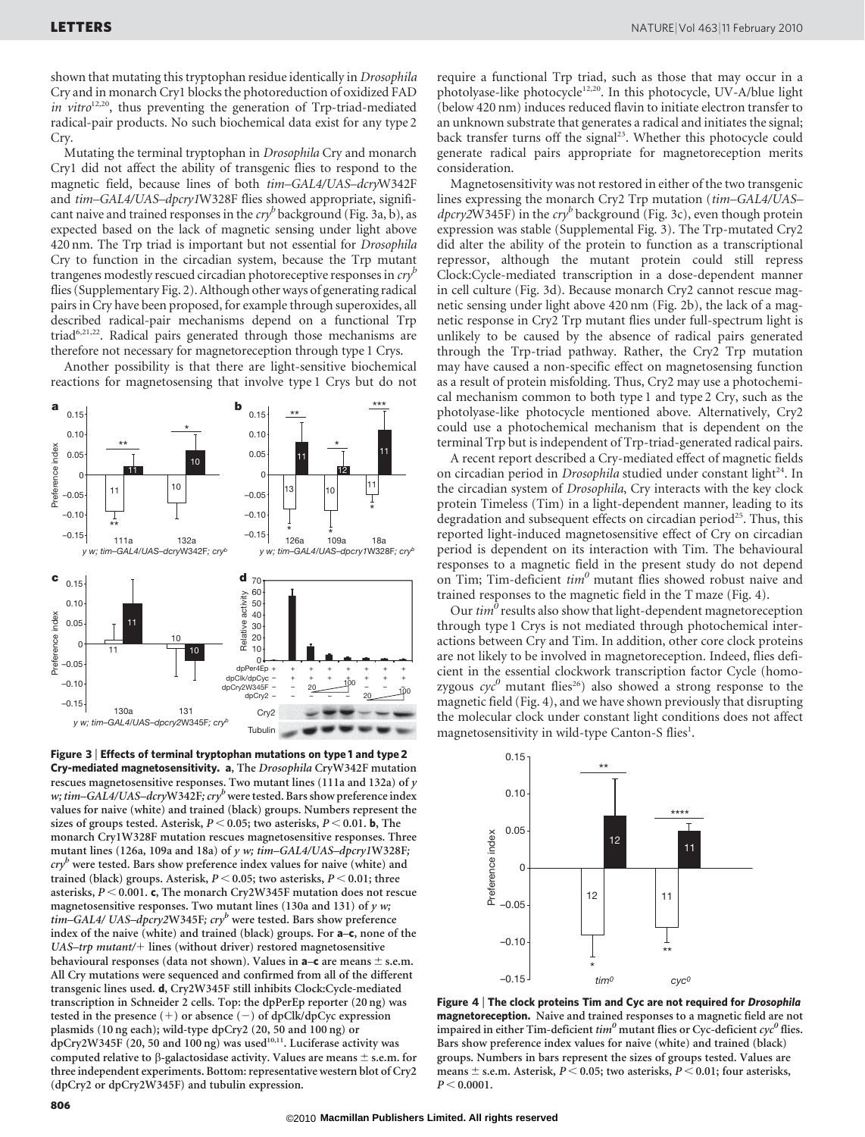shown that mutating this tryptophan residue identically in Drosophila Cry and in monarch Cry1 blocks the photoreduction of oxidized FAD in vitro $12,20$ , thus preventing the generation of Trp-triad-mediated radical-pair products. No such biochemical data exist for any type 2 Cry.

Mutating the terminal tryptophan in Drosophila Cry and monarch Cry1 did not affect the ability of transgenic flies to respond to the magnetic field, because lines of both tim–GAL4/UAS–dcryW342F and tim–GAL4/UAS–dpcry1W328F flies showed appropriate, significant naive and trained responses in the  $\langle cv \rangle^b$  background (Fig. 3a, b), as expected based on the lack of magnetic sensing under light above 420 nm. The Trp triad is important but not essential for Drosophila Cry to function in the circadian system, because the Trp mutant trangenes modestly rescued circadian photoreceptive responses in  $\frac{cr}{\nu}$ flies (Supplementary Fig. 2). Although other ways of generating radical pairs in Cry have been proposed, for example through superoxides, all described radical-pair mechanisms depend on a functional Trp triad6,21,22. Radical pairs generated through those mechanisms are therefore not necessary for magnetoreception through type 1 Crys.

Another possibility is that there are light-sensitive biochemical reactions for magnetosensing that involve type 1 Crys but do not



Figure 3 <sup>|</sup> Effects of terminal tryptophan mutations on type 1 and type 2 Cry-mediated magnetosensitivity. a, The Drosophila CryW342F mutation rescues magnetosensitive responses. Two mutant lines (111a and 132a) of  $y$ w; tim–GAL4/UAS–dcryW342F; cry<sup>b</sup> were tested. Bars show preference index values for naive (white) and trained (black) groups. Numbers represent the sizes of groups tested. Asterisk,  $P < 0.05$ ; two asterisks,  $P < 0.01$ . b, The monarch Cry1W328F mutation rescues magnetosensitive responses. Three mutant lines (126a, 109a and 18a) of y w; tim–GAL4/UAS–dpcry1W328F;  $\frac{cry^b}{cry^b}$  were tested. Bars show preference index values for naive (white) and trained (black) groups. Asterisk,  $P < 0.05$ ; two asterisks,  $P < 0.01$ ; three asterisks,  $P < 0.001$ . c, The monarch Cry2W345F mutation does not rescue magnetosensitive responses. Two mutant lines (130a and 131) of  $\gamma$  w; tim–GAL4/ UAS– $dpcry2W345F; cry^b$  were tested. Bars show preference index of the naive (white) and trained (black) groups. For  $a-c$ , none of the UAS–trp mutant/ $+$  lines (without driver) restored magnetosensitive behavioural responses (data not shown). Values in  $a-c$  are means  $\pm$  s.e.m. All Cry mutations were sequenced and confirmed from all of the different transgenic lines used. d, Cry2W345F still inhibits Clock:Cycle-mediated transcription in Schneider 2 cells. Top: the dpPerEp reporter (20 ng) was tested in the presence  $(+)$  or absence  $(-)$  of dpClk/dpCyc expression plasmids (10 ng each); wild-type dpCry2 (20, 50 and 100 ng) or  $dpCry2W345F (20, 50 and 100 ng) was used<sup>10,11</sup>. Luciferase activity was$ computed relative to  $\beta$ -galactosidase activity. Values are means  $\pm$  s.e.m. for three independent experiments. Bottom: representative western blot of Cry2 (dpCry2 or dpCry2W345F) and tubulin expression.

require a functional Trp triad, such as those that may occur in a photolyase-like photocycle<sup>12,20</sup>. In this photocycle, UV-A/blue light (below 420 nm) induces reduced flavin to initiate electron transfer to an unknown substrate that generates a radical and initiates the signal; back transfer turns off the signal<sup>23</sup>. Whether this photocycle could generate radical pairs appropriate for magnetoreception merits consideration.

Magnetosensitivity was not restored in either of the two transgenic lines expressing the monarch Cry2 Trp mutation (tim–GAL4/UAS– *dpcry2W345F*) in the *cry*<sup>*b*</sup> background (Fig. 3c), even though protein expression was stable (Supplemental Fig. 3). The Trp-mutated Cry2 did alter the ability of the protein to function as a transcriptional repressor, although the mutant protein could still repress Clock:Cycle-mediated transcription in a dose-dependent manner in cell culture (Fig. 3d). Because monarch Cry2 cannot rescue magnetic sensing under light above 420 nm (Fig. 2b), the lack of a magnetic response in Cry2 Trp mutant flies under full-spectrum light is unlikely to be caused by the absence of radical pairs generated through the Trp-triad pathway. Rather, the Cry2 Trp mutation may have caused a non-specific effect on magnetosensing function as a result of protein misfolding. Thus, Cry2 may use a photochemical mechanism common to both type 1 and type 2 Cry, such as the photolyase-like photocycle mentioned above. Alternatively, Cry2 could use a photochemical mechanism that is dependent on the terminal Trp but is independent of Trp-triad-generated radical pairs.

A recent report described a Cry-mediated effect of magnetic fields on circadian period in Drosophila studied under constant light<sup>24</sup>. In the circadian system of Drosophila, Cry interacts with the key clock protein Timeless (Tim) in a light-dependent manner, leading to its degradation and subsequent effects on circadian period<sup>25</sup>. Thus, this reported light-induced magnetosensitive effect of Cry on circadian period is dependent on its interaction with Tim. The behavioural responses to a magnetic field in the present study do not depend on Tim; Tim-deficient  $tim<sup>0</sup>$  mutant flies showed robust naive and trained responses to the magnetic field in the T maze (Fig. 4).

Our  $\text{tim}^0$  results also show that light-dependent magnetoreception through type 1 Crys is not mediated through photochemical interactions between Cry and Tim. In addition, other core clock proteins are not likely to be involved in magnetoreception. Indeed, flies deficient in the essential clockwork transcription factor Cycle (homozygous  $cyc^0$  mutant flies<sup>26</sup>) also showed a strong response to the magnetic field (Fig. 4), and we have shown previously that disrupting the molecular clock under constant light conditions does not affect magnetosensitivity in wild-type Canton-S flies<sup>1</sup>.



Figure 4 <sup>|</sup> The clock proteins Tim and Cyc are not required for Drosophila magnetoreception. Naive and trained responses to a magnetic field are not impaired in either Tim-deficient  $tim^0$  mutant flies or Cyc-deficient  $cyc^0$  flies. Bars show preference index values for naive (white) and trained (black) groups. Numbers in bars represent the sizes of groups tested. Values are means  $\pm$  s.e.m. Asterisk,  $P \le 0.05$ ; two asterisks,  $P \le 0.01$ ; four asterisks,  $P < 0.0001$ .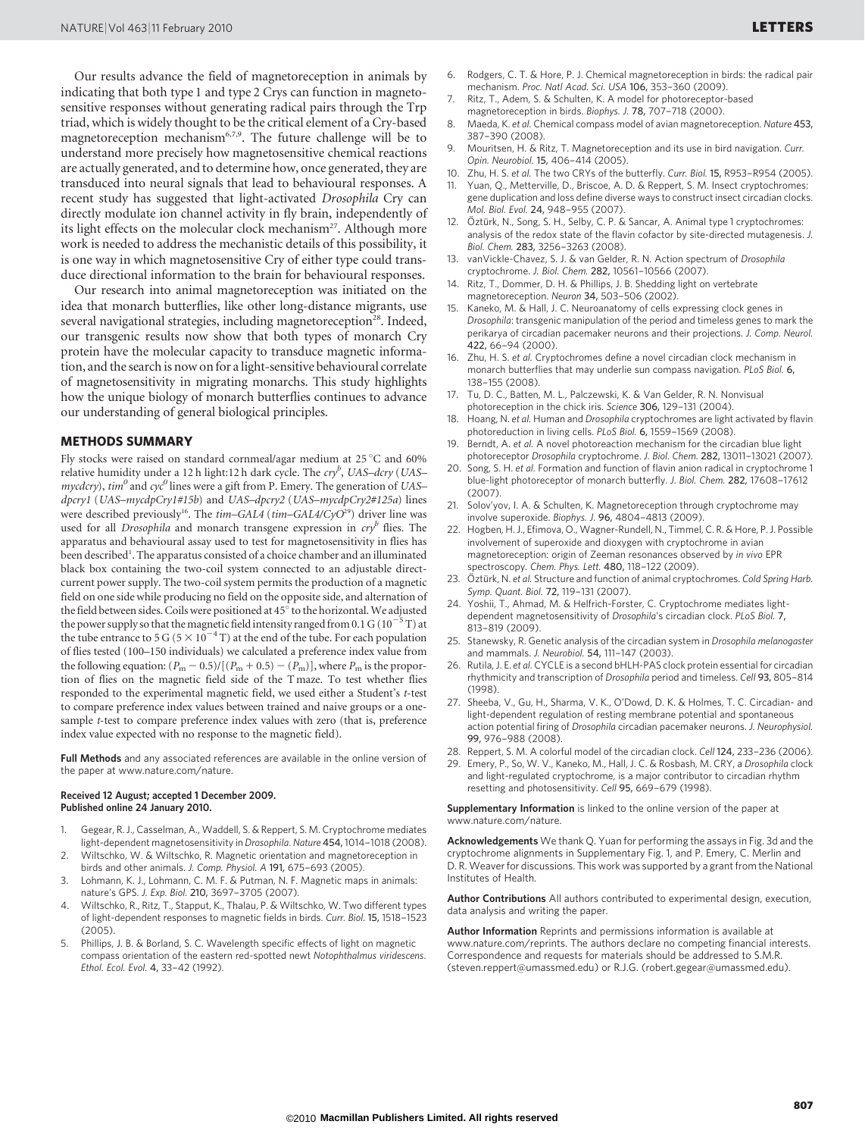Our results advance the field of magnetoreception in animals by indicating that both type 1 and type 2 Crys can function in magnetosensitive responses without generating radical pairs through the Trp triad, which is widely thought to be the critical element of a Cry-based magnetoreception mechanism<sup>6,7,9</sup>. The future challenge will be to understand more precisely how magnetosensitive chemical reactions are actually generated, and to determine how, once generated, they are transduced into neural signals that lead to behavioural responses. A recent study has suggested that light-activated Drosophila Cry can directly modulate ion channel activity in fly brain, independently of its light effects on the molecular clock mechanism<sup>27</sup>. Although more work is needed to address the mechanistic details of this possibility, it is one way in which magnetosensitive Cry of either type could transduce directional information to the brain for behavioural responses.

Our research into animal magnetoreception was initiated on the idea that monarch butterflies, like other long-distance migrants, use several navigational strategies, including magnetoreception<sup>28</sup>. Indeed, our transgenic results now show that both types of monarch Cry protein have the molecular capacity to transduce magnetic information, and the search is now onfor a light-sensitive behavioural correlate of magnetosensitivity in migrating monarchs. This study highlights how the unique biology of monarch butterflies continues to advance our understanding of general biological principles.

#### METHODS SUMMARY

Fly stocks were raised on standard cornmeal/agar medium at 25  $^{\circ}$ C and 60% relative humidity under a 12 h light:12 h dark cycle. The  $\it{cry}^b$ , UAS– $\it{dcry}$  (UAS– mycdcry),  $\lim^0$  and cyc<sup>0</sup> lines were a gift from P. Emery. The generation of UAS– dpcry1 (UAS–mycdpCry1#15b) and UAS–dpcry2 (UAS–mycdpCry2#125a) lines were described previously<sup>16</sup>. The  $tim-GAL4$  ( $tim-GAL4/CyO<sup>29</sup>$ ) driver line was used for all *Drosophila* and monarch transgene expression in  $\frac{c}{v}$  flies. The apparatus and behavioural assay used to test for magnetosensitivity in flies has been described<sup>1</sup>. The apparatus consisted of a choice chamber and an illuminated black box containing the two-coil system connected to an adjustable directcurrent power supply. The two-coil system permits the production of a magnetic field on one side while producing no field on the opposite side, and alternation of the field between sides. Coils were positioned at  $45^{\circ}$  to the horizontal. We adjusted the power supply so that the magnetic field intensity ranged from 0.1 G ( $10^{-5}$  T) at the tube entrance to 5 G ( $5 \times 10^{-4}$  T) at the end of the tube. For each population of flies tested (100–150 individuals) we calculated a preference index value from the following equation:  $(P_m - 0.5)/[(P_m + 0.5) - (P_m)]$ , where  $P_m$  is the proportion of flies on the magnetic field side of the T maze. To test whether flies responded to the experimental magnetic field, we used either a Student's t-test to compare preference index values between trained and naive groups or a onesample *t*-test to compare preference index values with zero (that is, preference index value expected with no response to the magnetic field).

Full Methods and any associated references are available in the online version of the paper at<www.nature.com/nature>.

#### Received 12 August; accepted 1 December 2009. Published online 24 January 2010.

- 1. Gegear, R. J., Casselman, A., Waddell, S. & Reppert, S. M. Cryptochrome mediates light-dependent magnetosensitivity in Drosophila. Nature 454, 1014-1018 (2008).
- 2. Wiltschko, W. & Wiltschko, R. Magnetic orientation and magnetoreception in birds and other animals. J. Comp. Physiol. A 191, 675–693 (2005).
- 3. Lohmann, K. J., Lohmann, C. M. F. & Putman, N. F. Magnetic maps in animals: nature's GPS. J. Exp. Biol. 210, 3697–3705 (2007).
- 4. Wiltschko, R., Ritz, T., Stapput, K., Thalau, P. & Wiltschko, W. Two different types of light-dependent responses to magnetic fields in birds. Curr. Biol. 15, 1518–1523 (2005).
- 5. Phillips, J. B. & Borland, S. C. Wavelength specific effects of light on magnetic compass orientation of the eastern red-spotted newt Notophthalmus viridescens. Ethol. Ecol. Evol. 4, 33–42 (1992).
- 6. Rodgers, C. T. & Hore, P. J. Chemical magnetoreception in birds: the radical pair mechanism. Proc. Natl Acad. Sci. USA 106, 353–360 (2009).
- 7. Ritz, T., Adem, S. & Schulten, K. A model for photoreceptor-based magnetoreception in birds. Biophys. J. 78, 707–718 (2000).
- 8. Maeda, K. et al. Chemical compass model of avian magnetoreception. Nature 453, 387–390 (2008).
- 9. Mouritsen, H. & Ritz, T. Magnetoreception and its use in bird navigation. Curr. Opin. Neurobiol. 15, 406–414 (2005).
- 10. Zhu, H. S. et al. The two CRYs of the butterfly. Curr. Biol. 15, R953–R954 (2005).
- Yuan, Q., Metterville, D., Briscoe, A. D. & Reppert, S. M. Insect cryptochromes: gene duplication and loss define diverse ways to construct insect circadian clocks. Mol. Biol. Evol. 24, 948–955 (2007).
- 12. Öztürk, N., Song, S. H., Selby, C. P. & Sancar, A. Animal type 1 cryptochromes: analysis of the redox state of the flavin cofactor by site-directed mutagenesis. J. Biol. Chem. 283, 3256–3263 (2008).
- 13. vanVickle-Chavez, S. J. & van Gelder, R. N. Action spectrum of Drosophila cryptochrome. J. Biol. Chem. 282, 10561–10566 (2007).
- Ritz, T., Dommer, D. H. & Phillips, J. B. Shedding light on vertebrate magnetoreception. Neuron 34, 503–506 (2002).
- 15. Kaneko, M. & Hall, J. C. Neuroanatomy of cells expressing clock genes in Drosophila: transgenic manipulation of the period and timeless genes to mark the perikarya of circadian pacemaker neurons and their projections. J. Comp. Neurol. 422, 66–94 (2000).
- 16. Zhu, H. S. et al. Cryptochromes define a novel circadian clock mechanism in monarch butterflies that may underlie sun compass navigation. PLoS Biol. 6, 138–155 (2008).
- 17. Tu, D. C., Batten, M. L., Palczewski, K. & Van Gelder, R. N. Nonvisual photoreception in the chick iris. Science 306, 129–131 (2004).
- 18. Hoang, N. et al. Human and Drosophila cryptochromes are light activated by flavin photoreduction in living cells. PLoS Biol. 6, 1559–1569 (2008).
- 19. Berndt, A. et al. A novel photoreaction mechanism for the circadian blue light photoreceptor Drosophila cryptochrome. J. Biol. Chem. 282, 13011–13021 (2007).
- 20. Song, S. H. et al. Formation and function of flavin anion radical in cryptochrome 1 blue-light photoreceptor of monarch butterfly. J. Biol. Chem. 282, 17608–17612 (2007).
- 21. Solov'yov, I. A. & Schulten, K. Magnetoreception through cryptochrome may involve superoxide. Biophys. J. 96, 4804–4813 (2009).
- 22. Hogben, H. J., Efimova, O., Wagner-Rundell, N., Timmel, C. R. & Hore, P. J. Possible involvement of superoxide and dioxygen with cryptochrome in avian magnetoreception: origin of Zeeman resonances observed by in vivo EPR spectroscopy. Chem. Phys. Lett. 480, 118–122 (2009).
- 23. Öztürk, N. et al. Structure and function of animal cryptochromes. Cold Spring Harb. Symp. Quant. Biol. 72, 119–131 (2007).
- 24. Yoshii, T., Ahmad, M. & Helfrich-Forster, C. Cryptochrome mediates lightdependent magnetosensitivity of Drosophila's circadian clock. PLoS Biol. 7, 813–819 (2009).
- 25. Stanewsky, R. Genetic analysis of the circadian system in Drosophila melanogaster and mammals. J. Neurobiol. 54, 111–147 (2003).
- 26. Rutila, J. E. et al. CYCLE is a second bHLH-PAS clock protein essential for circadian rhythmicity and transcription of Drosophila period and timeless. Cell 93, 805–814 (1998).
- 27. Sheeba, V., Gu, H., Sharma, V. K., O'Dowd, D. K. & Holmes, T. C. Circadian- and light-dependent regulation of resting membrane potential and spontaneous action potential firing of Drosophila circadian pacemaker neurons. J. Neurophysiol. 99, 976–988 (2008).
- 28. Reppert, S. M. A colorful model of the circadian clock. Cell 124, 233–236 (2006). 29. Emery, P., So, W. V., Kaneko, M., Hall, J. C. & Rosbash, M. CRY, a Drosophila clock
- and light-regulated cryptochrome, is a major contributor to circadian rhythm resetting and photosensitivity. Cell 95, 669–679 (1998).

Supplementary Information is linked to the online version of the paper at <www.nature.com/nature>.

Acknowledgements We thank Q. Yuan for performing the assays in Fig. 3d and the cryptochrome alignments in Supplementary Fig. 1, and P. Emery, C. Merlin and D. R.Weaver for discussions. This work was supported by a grant from the National Institutes of Health.

Author Contributions All authors contributed to experimental design, execution, data analysis and writing the paper.

Author Information Reprints and permissions information is available at <www.nature.com/reprints>. The authors declare no competing financial interests. Correspondence and requests for materials should be addressed to S.M.R. [\(steven.reppert@umassmed.edu\)](mailto:steven.reppert@umassmed.edu) or R.J.G. [\(robert.gegear@umassmed.edu\).](mailto:robert.gegear@umassmed.edu)